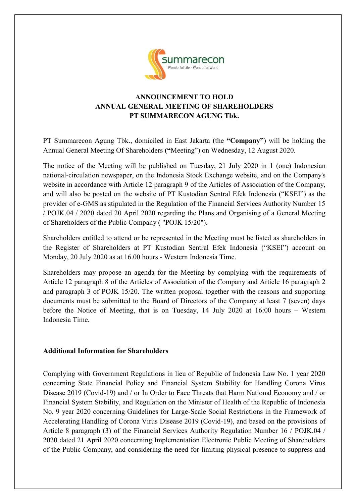

## **ANNOUNCEMENT TO HOLD ANNUAL GENERAL MEETING OF SHAREHOLDERS PT SUMMARECON AGUNG Tbk.**

PT Summarecon Agung Tbk., domiciled in East Jakarta (the **"Company"**) will be holding the Annual General Meeting Of Shareholders **("**Meeting") on Wednesday, 12 August 2020.

The notice of the Meeting will be published on Tuesday, 21 July 2020 in 1 (one) Indonesian national-circulation newspaper, on the Indonesia Stock Exchange website, and on the Company's website in accordance with Article 12 paragraph 9 of the Articles of Association of the Company, and will also be posted on the website of PT Kustodian Sentral Efek Indonesia ("KSEI") as the provider of e-GMS as stipulated in the Regulation of the Financial Services Authority Number 15 / POJK.04 / 2020 dated 20 April 2020 regarding the Plans and Organising of a General Meeting of Shareholders of the Public Company ( "POJK 15/20").

Shareholders entitled to attend or be represented in the Meeting must be listed as shareholders in the Register of Shareholders at PT Kustodian Sentral Efek Indonesia ("KSEI") account on Monday, 20 July 2020 as at 16.00 hours - Western Indonesia Time.

Shareholders may propose an agenda for the Meeting by complying with the requirements of Article 12 paragraph 8 of the Articles of Association of the Company and Article 16 paragraph 2 and paragraph 3 of POJK 15/20. The written proposal together with the reasons and supporting documents must be submitted to the Board of Directors of the Company at least 7 (seven) days before the Notice of Meeting, that is on Tuesday, 14 July 2020 at 16:00 hours – Western Indonesia Time.

## **Additional Information for Shareholders**

Complying with Government Regulations in lieu of Republic of Indonesia Law No. 1 year 2020 concerning State Financial Policy and Financial System Stability for Handling Corona Virus Disease 2019 (Covid-19) and / or In Order to Face Threats that Harm National Economy and / or Financial System Stability, and Regulation on the Minister of Health of the Republic of Indonesia No. 9 year 2020 concerning Guidelines for Large-Scale Social Restrictions in the Framework of Accelerating Handling of Corona Virus Disease 2019 (Covid-19), and based on the provisions of Article 8 paragraph (3) of the Financial Services Authority Regulation Number 16 / POJK.04 / 2020 dated 21 April 2020 concerning Implementation Electronic Public Meeting of Shareholders of the Public Company, and considering the need for limiting physical presence to suppress and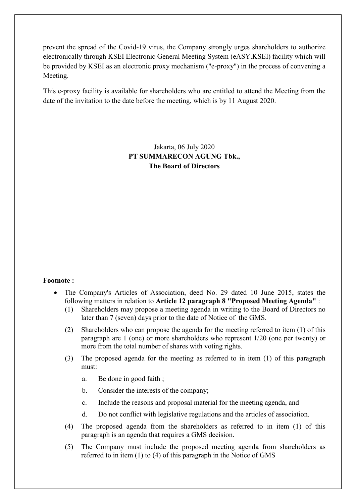prevent the spread of the Covid-19 virus, the Company strongly urges shareholders to authorize electronically through KSEI Electronic General Meeting System (eASY.KSEI) facility which will be provided by KSEI as an electronic proxy mechanism ("e-proxy") in the process of convening a Meeting.

This e-proxy facility is available for shareholders who are entitled to attend the Meeting from the date of the invitation to the date before the meeting, which is by 11 August 2020.

> Jakarta, 06 July 2020 **PT SUMMARECON AGUNG Tbk., The Board of Directors**

## **Footnote :**

- The Company's Articles of Association, deed No. 29 dated 10 June 2015, states the following matters in relation to **Article 12 paragraph 8 "Proposed Meeting Agenda"** :
	- (1) Shareholders may propose a meeting agenda in writing to the Board of Directors no later than 7 (seven) days prior to the date of Notice of the GMS.
	- (2) Shareholders who can propose the agenda for the meeting referred to item (1) of this paragraph are 1 (one) or more shareholders who represent 1/20 (one per twenty) or more from the total number of shares with voting rights.
	- (3) The proposed agenda for the meeting as referred to in item (1) of this paragraph must:
		- a. Be done in good faith ;
		- b. Consider the interests of the company;
		- c. Include the reasons and proposal material for the meeting agenda, and
		- d. Do not conflict with legislative regulations and the articles of association.
	- (4) The proposed agenda from the shareholders as referred to in item (1) of this paragraph is an agenda that requires a GMS decision.
	- (5) The Company must include the proposed meeting agenda from shareholders as referred to in item (1) to (4) of this paragraph in the Notice of GMS